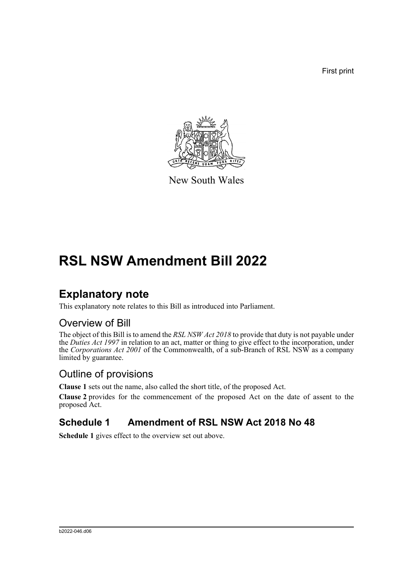First print



New South Wales

# **RSL NSW Amendment Bill 2022**

## **Explanatory note**

This explanatory note relates to this Bill as introduced into Parliament.

### Overview of Bill

The object of this Bill is to amend the *RSL NSW Act 2018* to provide that duty is not payable under the *Duties Act 1997* in relation to an act, matter or thing to give effect to the incorporation, under the *Corporations Act 2001* of the Commonwealth, of a sub-Branch of RSL NSW as a company limited by guarantee.

### Outline of provisions

**Clause 1** sets out the name, also called the short title, of the proposed Act.

**Clause 2** provides for the commencement of the proposed Act on the date of assent to the proposed Act.

#### **Schedule 1 Amendment of RSL NSW Act 2018 No 48**

**Schedule 1** gives effect to the overview set out above.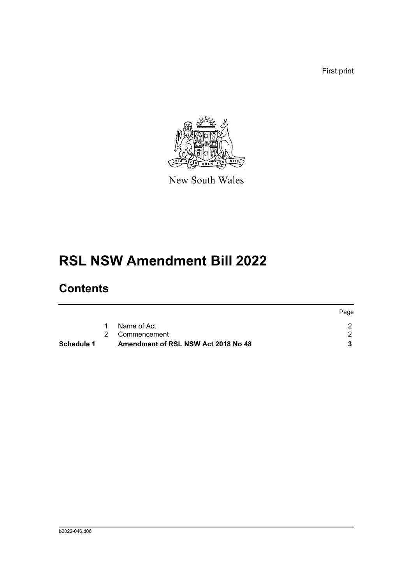First print



New South Wales

## **RSL NSW Amendment Bill 2022**

## **Contents**

|            |                                     | Page |
|------------|-------------------------------------|------|
|            | Name of Act                         |      |
|            | 2 Commencement                      |      |
| Schedule 1 | Amendment of RSL NSW Act 2018 No 48 |      |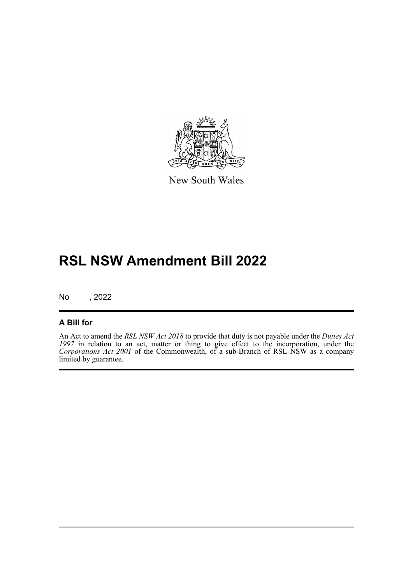

New South Wales

## **RSL NSW Amendment Bill 2022**

No , 2022

#### **A Bill for**

An Act to amend the *RSL NSW Act 2018* to provide that duty is not payable under the *Duties Act 1997* in relation to an act, matter or thing to give effect to the incorporation, under the *Corporations Act 2001* of the Commonwealth, of a sub-Branch of RSL NSW as a company limited by guarantee.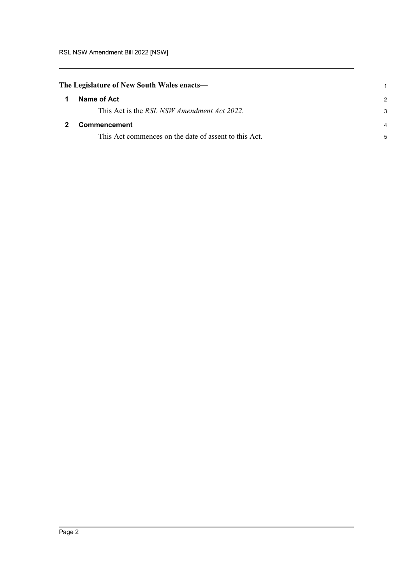<span id="page-3-1"></span><span id="page-3-0"></span>

| The Legislature of New South Wales enacts— |                                                       |               |
|--------------------------------------------|-------------------------------------------------------|---------------|
| $\mathbf 1$                                | Name of Act                                           | $\mathcal{P}$ |
|                                            | This Act is the <i>RSL NSW Amendment Act 2022</i> .   | 3             |
|                                            | <b>Commencement</b>                                   | 4             |
|                                            | This Act commences on the date of assent to this Act. | 5             |